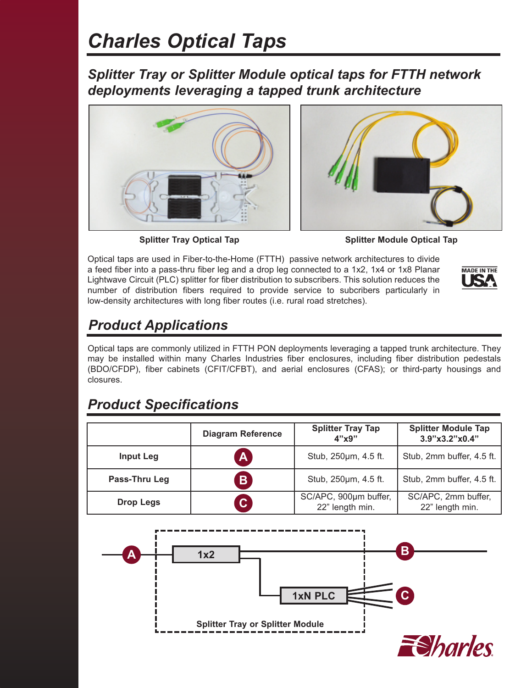## *Charles Optical Taps*

*Splitter Tray or Splitter Module optical taps for FTTH network deployments leveraging a tapped trunk architecture*





**Splitter Tray Optical Tap Splitter Module Optical Tap** 

Optical taps are used in Fiber-to-the-Home (FTTH)  passive network architectures to divide a feed fiber into a pass-thru fiber leg and a drop leg connected to a 1x2, 1x4 or 1x8 Planar Lightwave Circuit (PLC) splitter for fiber distribution to subscribers. This solution reduces the number of distribution fibers required to provide service to subcribers particularly in low-density architectures with long fiber routes (i.e. rural road stretches).



## *Product Applications*

Optical taps are commonly utilized in FTTH PON deployments leveraging a tapped trunk architecture. They may be installed within many Charles Industries fiber enclosures, including fiber distribution pedestals (BDO/CFDP), fiber cabinets (CFIT/CFBT), and aerial enclosures (CFAS); or third-party housings and closures.

## *Product Specifications*

|                  | <b>Diagram Reference</b> | <b>Splitter Tray Tap</b><br>4"x9"        | <b>Splitter Module Tap</b><br>3.9"x3.2"x0.4" |
|------------------|--------------------------|------------------------------------------|----------------------------------------------|
| <b>Input Leg</b> | $\mathbf{A}$             | Stub, 250um, 4.5 ft.                     | Stub, 2mm buffer, 4.5 ft.                    |
| Pass-Thru Leg    | $\overline{B}$           | Stub, 250um, 4.5 ft.                     | Stub, 2mm buffer, 4.5 ft.                    |
| <b>Drop Legs</b> | $\overline{C}$           | SC/APC, 900um buffer,<br>22" length min. | SC/APC, 2mm buffer,<br>22" length min.       |